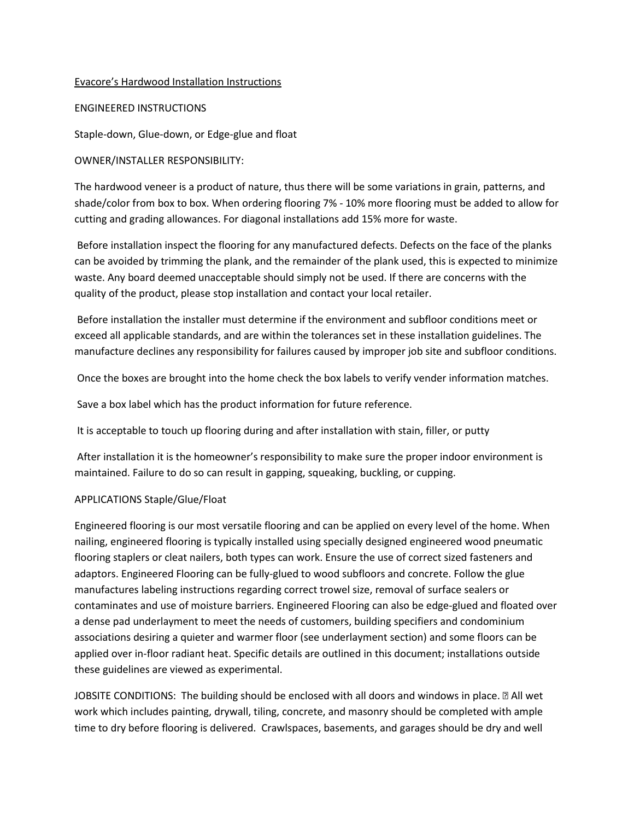### Evacore's Hardwood Installation Instructions

#### ENGINEERED INSTRUCTIONS

Staple-down, Glue-down, or Edge-glue and float

### OWNER/INSTALLER RESPONSIBILITY:

The hardwood veneer is a product of nature, thus there will be some variations in grain, patterns, and shade/color from box to box. When ordering flooring 7% - 10% more flooring must be added to allow for cutting and grading allowances. For diagonal installations add 15% more for waste.

Before installation inspect the flooring for any manufactured defects. Defects on the face of the planks can be avoided by trimming the plank, and the remainder of the plank used, this is expected to minimize waste. Any board deemed unacceptable should simply not be used. If there are concerns with the quality of the product, please stop installation and contact your local retailer.

Before installation the installer must determine if the environment and subfloor conditions meet or exceed all applicable standards, and are within the tolerances set in these installation guidelines. The manufacture declines any responsibility for failures caused by improper job site and subfloor conditions.

Once the boxes are brought into the home check the box labels to verify vender information matches.

Save a box label which has the product information for future reference.

It is acceptable to touch up flooring during and after installation with stain, filler, or putty

After installation it is the homeowner's responsibility to make sure the proper indoor environment is maintained. Failure to do so can result in gapping, squeaking, buckling, or cupping.

# APPLICATIONS Staple/Glue/Float

Engineered flooring is our most versatile flooring and can be applied on every level of the home. When nailing, engineered flooring is typically installed using specially designed engineered wood pneumatic flooring staplers or cleat nailers, both types can work. Ensure the use of correct sized fasteners and adaptors. Engineered Flooring can be fully-glued to wood subfloors and concrete. Follow the glue manufactures labeling instructions regarding correct trowel size, removal of surface sealers or contaminates and use of moisture barriers. Engineered Flooring can also be edge-glued and floated over a dense pad underlayment to meet the needs of customers, building specifiers and condominium associations desiring a quieter and warmer floor (see underlayment section) and some floors can be applied over in-floor radiant heat. Specific details are outlined in this document; installations outside these guidelines are viewed as experimental.

JOBSITE CONDITIONS: The building should be enclosed with all doors and windows in place. **I** All wet work which includes painting, drywall, tiling, concrete, and masonry should be completed with ample time to dry before flooring is delivered. Crawlspaces, basements, and garages should be dry and well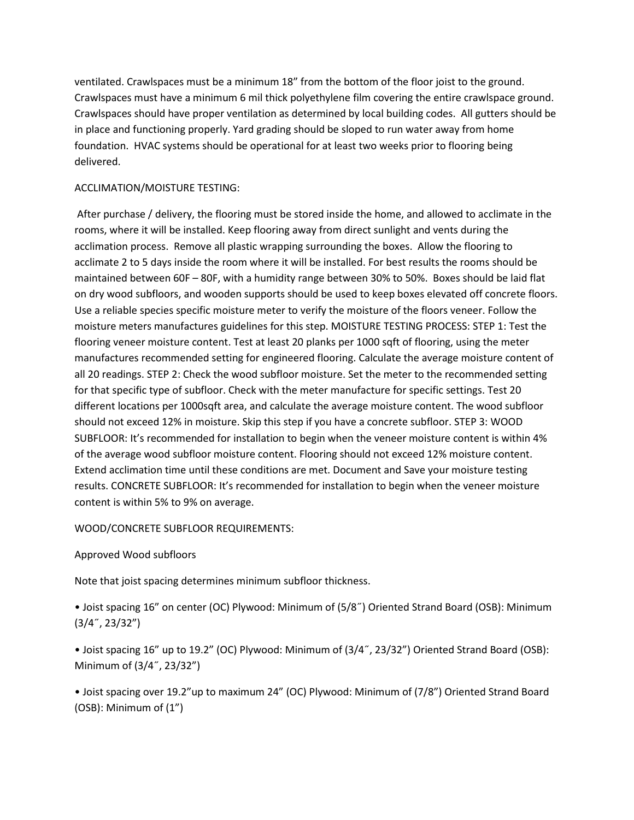ventilated. Crawlspaces must be a minimum 18" from the bottom of the floor joist to the ground. Crawlspaces must have a minimum 6 mil thick polyethylene film covering the entire crawlspace ground. Crawlspaces should have proper ventilation as determined by local building codes. All gutters should be in place and functioning properly. Yard grading should be sloped to run water away from home foundation. HVAC systems should be operational for at least two weeks prior to flooring being delivered.

# ACCLIMATION/MOISTURE TESTING:

After purchase / delivery, the flooring must be stored inside the home, and allowed to acclimate in the rooms, where it will be installed. Keep flooring away from direct sunlight and vents during the acclimation process. Remove all plastic wrapping surrounding the boxes. Allow the flooring to acclimate 2 to 5 days inside the room where it will be installed. For best results the rooms should be maintained between 60F – 80F, with a humidity range between 30% to 50%. Boxes should be laid flat on dry wood subfloors, and wooden supports should be used to keep boxes elevated off concrete floors. Use a reliable species specific moisture meter to verify the moisture of the floors veneer. Follow the moisture meters manufactures guidelines for this step. MOISTURE TESTING PROCESS: STEP 1: Test the flooring veneer moisture content. Test at least 20 planks per 1000 sqft of flooring, using the meter manufactures recommended setting for engineered flooring. Calculate the average moisture content of all 20 readings. STEP 2: Check the wood subfloor moisture. Set the meter to the recommended setting for that specific type of subfloor. Check with the meter manufacture for specific settings. Test 20 different locations per 1000sqft area, and calculate the average moisture content. The wood subfloor should not exceed 12% in moisture. Skip this step if you have a concrete subfloor. STEP 3: WOOD SUBFLOOR: It's recommended for installation to begin when the veneer moisture content is within 4% of the average wood subfloor moisture content. Flooring should not exceed 12% moisture content. Extend acclimation time until these conditions are met. Document and Save your moisture testing results. CONCRETE SUBFLOOR: It's recommended for installation to begin when the veneer moisture content is within 5% to 9% on average.

# WOOD/CONCRETE SUBFLOOR REQUIREMENTS:

# Approved Wood subfloors

Note that joist spacing determines minimum subfloor thickness.

• Joist spacing 16" on center (OC) Plywood: Minimum of (5/8˝) Oriented Strand Board (OSB): Minimum (3/4˝, 23/32")

• Joist spacing 16" up to 19.2" (OC) Plywood: Minimum of (3/4˝, 23/32") Oriented Strand Board (OSB): Minimum of (3/4˝, 23/32")

• Joist spacing over 19.2"up to maximum 24" (OC) Plywood: Minimum of (7/8") Oriented Strand Board (OSB): Minimum of (1")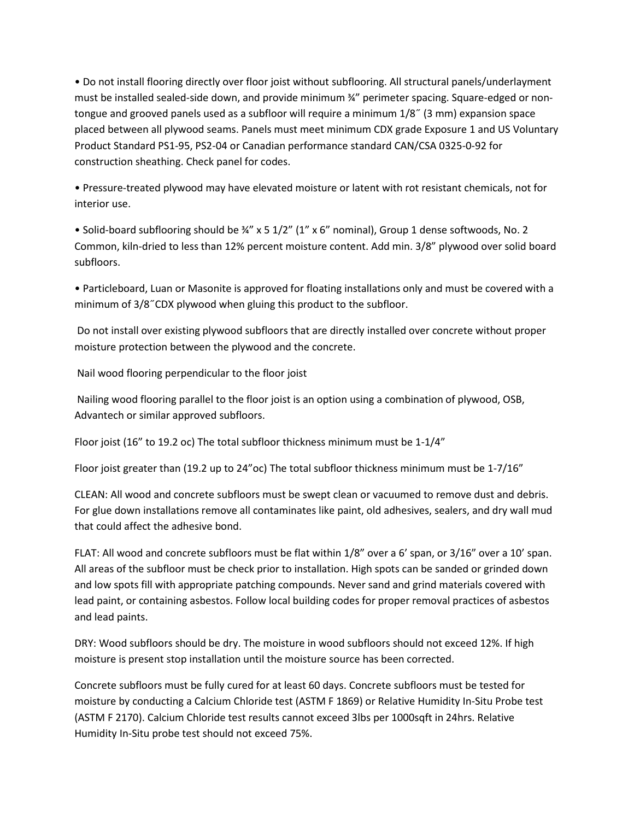• Do not install flooring directly over floor joist without subflooring. All structural panels/underlayment must be installed sealed-side down, and provide minimum  $\frac{3}{4}$ " perimeter spacing. Square-edged or nontongue and grooved panels used as a subfloor will require a minimum 1/8˝ (3 mm) expansion space placed between all plywood seams. Panels must meet minimum CDX grade Exposure 1 and US Voluntary Product Standard PS1-95, PS2-04 or Canadian performance standard CAN/CSA 0325-0-92 for construction sheathing. Check panel for codes.

• Pressure-treated plywood may have elevated moisture or latent with rot resistant chemicals, not for interior use.

• Solid-board subflooring should be ¾" x 5 1/2" (1" x 6" nominal), Group 1 dense softwoods, No. 2 Common, kiln-dried to less than 12% percent moisture content. Add min. 3/8" plywood over solid board subfloors.

• Particleboard, Luan or Masonite is approved for floating installations only and must be covered with a minimum of 3/8˝CDX plywood when gluing this product to the subfloor.

Do not install over existing plywood subfloors that are directly installed over concrete without proper moisture protection between the plywood and the concrete.

Nail wood flooring perpendicular to the floor joist

Nailing wood flooring parallel to the floor joist is an option using a combination of plywood, OSB, Advantech or similar approved subfloors.

Floor joist (16" to 19.2 oc) The total subfloor thickness minimum must be 1-1/4"

Floor joist greater than (19.2 up to 24"oc) The total subfloor thickness minimum must be 1-7/16"

CLEAN: All wood and concrete subfloors must be swept clean or vacuumed to remove dust and debris. For glue down installations remove all contaminates like paint, old adhesives, sealers, and dry wall mud that could affect the adhesive bond.

FLAT: All wood and concrete subfloors must be flat within 1/8" over a 6' span, or 3/16" over a 10' span. All areas of the subfloor must be check prior to installation. High spots can be sanded or grinded down and low spots fill with appropriate patching compounds. Never sand and grind materials covered with lead paint, or containing asbestos. Follow local building codes for proper removal practices of asbestos and lead paints.

DRY: Wood subfloors should be dry. The moisture in wood subfloors should not exceed 12%. If high moisture is present stop installation until the moisture source has been corrected.

Concrete subfloors must be fully cured for at least 60 days. Concrete subfloors must be tested for moisture by conducting a Calcium Chloride test (ASTM F 1869) or Relative Humidity In-Situ Probe test (ASTM F 2170). Calcium Chloride test results cannot exceed 3lbs per 1000sqft in 24hrs. Relative Humidity In-Situ probe test should not exceed 75%.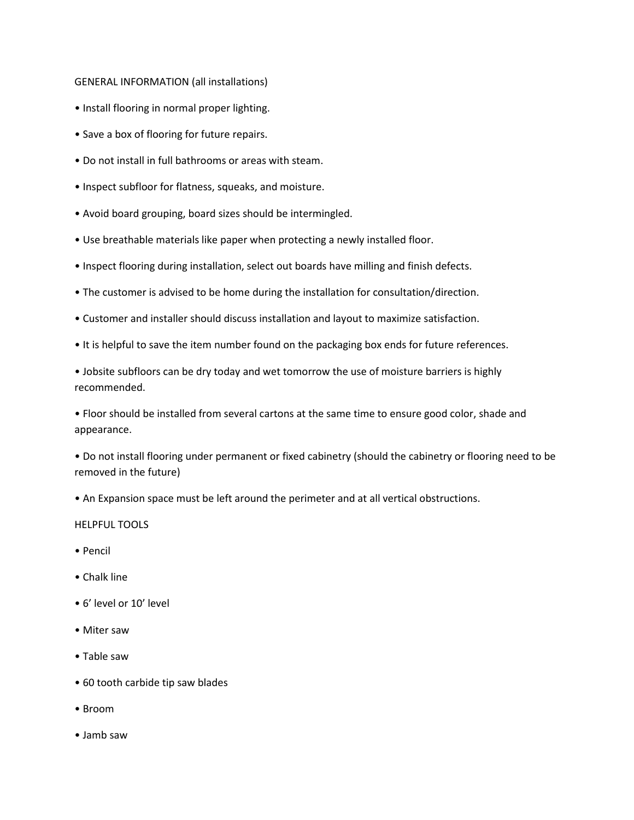### GENERAL INFORMATION (all installations)

- Install flooring in normal proper lighting.
- Save a box of flooring for future repairs.
- Do not install in full bathrooms or areas with steam.
- Inspect subfloor for flatness, squeaks, and moisture.
- Avoid board grouping, board sizes should be intermingled.
- Use breathable materials like paper when protecting a newly installed floor.
- Inspect flooring during installation, select out boards have milling and finish defects.
- The customer is advised to be home during the installation for consultation/direction.
- Customer and installer should discuss installation and layout to maximize satisfaction.
- It is helpful to save the item number found on the packaging box ends for future references.

• Jobsite subfloors can be dry today and wet tomorrow the use of moisture barriers is highly recommended.

• Floor should be installed from several cartons at the same time to ensure good color, shade and appearance.

• Do not install flooring under permanent or fixed cabinetry (should the cabinetry or flooring need to be removed in the future)

• An Expansion space must be left around the perimeter and at all vertical obstructions.

#### HELPFUL TOOLS

- Pencil
- Chalk line
- 6' level or 10' level
- Miter saw
- Table saw
- 60 tooth carbide tip saw blades
- Broom
- Jamb saw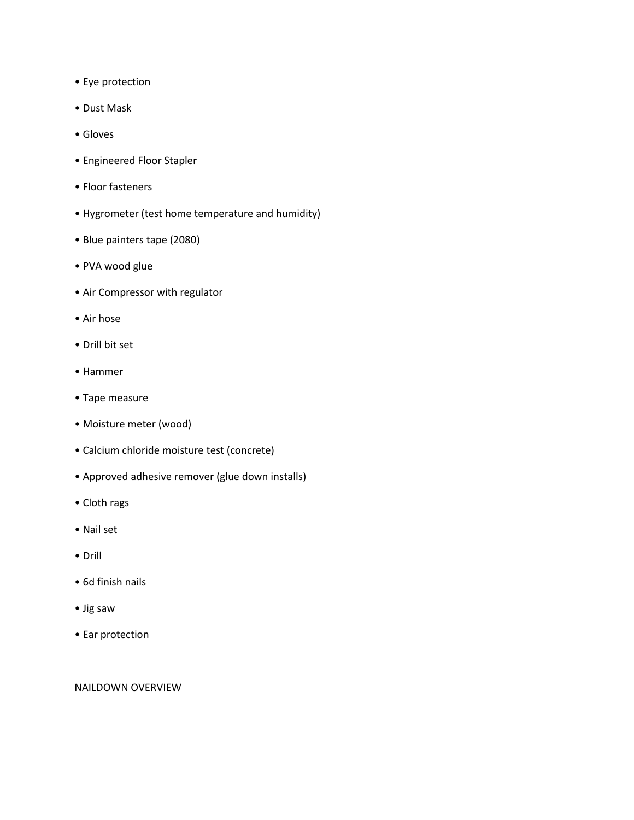- Eye protection
- Dust Mask
- Gloves
- Engineered Floor Stapler
- Floor fasteners
- Hygrometer (test home temperature and humidity)
- Blue painters tape (2080)
- PVA wood glue
- Air Compressor with regulator
- Air hose
- Drill bit set
- Hammer
- Tape measure
- Moisture meter (wood)
- Calcium chloride moisture test (concrete)
- Approved adhesive remover (glue down installs)
- Cloth rags
- Nail set
- Drill
- 6d finish nails
- Jig saw
- Ear protection

### NAILDOWN OVERVIEW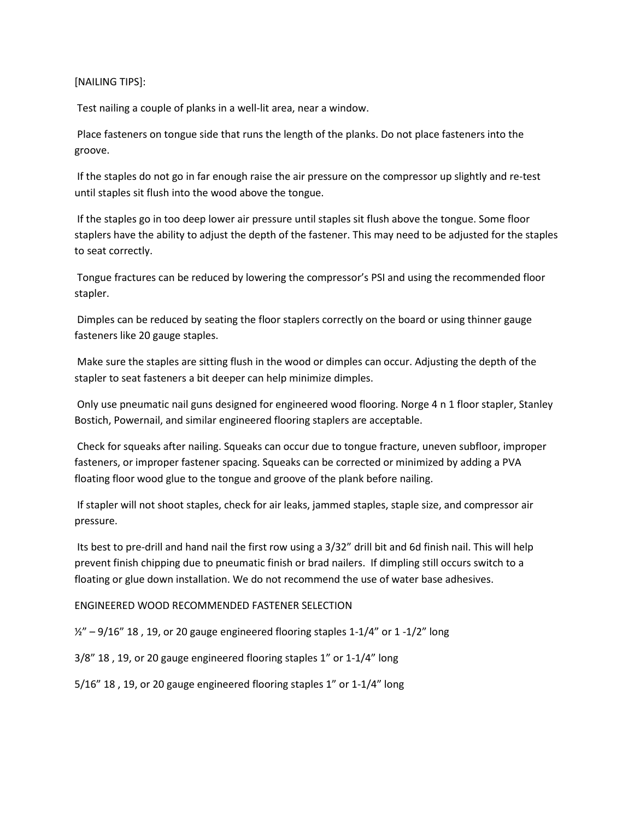### [NAILING TIPS]:

Test nailing a couple of planks in a well-lit area, near a window.

Place fasteners on tongue side that runs the length of the planks. Do not place fasteners into the groove.

If the staples do not go in far enough raise the air pressure on the compressor up slightly and re-test until staples sit flush into the wood above the tongue.

If the staples go in too deep lower air pressure until staples sit flush above the tongue. Some floor staplers have the ability to adjust the depth of the fastener. This may need to be adjusted for the staples to seat correctly.

Tongue fractures can be reduced by lowering the compressor's PSI and using the recommended floor stapler.

Dimples can be reduced by seating the floor staplers correctly on the board or using thinner gauge fasteners like 20 gauge staples.

Make sure the staples are sitting flush in the wood or dimples can occur. Adjusting the depth of the stapler to seat fasteners a bit deeper can help minimize dimples.

Only use pneumatic nail guns designed for engineered wood flooring. Norge 4 n 1 floor stapler, Stanley Bostich, Powernail, and similar engineered flooring staplers are acceptable.

Check for squeaks after nailing. Squeaks can occur due to tongue fracture, uneven subfloor, improper fasteners, or improper fastener spacing. Squeaks can be corrected or minimized by adding a PVA floating floor wood glue to the tongue and groove of the plank before nailing.

If stapler will not shoot staples, check for air leaks, jammed staples, staple size, and compressor air pressure.

Its best to pre-drill and hand nail the first row using a 3/32" drill bit and 6d finish nail. This will help prevent finish chipping due to pneumatic finish or brad nailers. If dimpling still occurs switch to a floating or glue down installation. We do not recommend the use of water base adhesives.

ENGINEERED WOOD RECOMMENDED FASTENER SELECTION

 $\frac{1}{2}$ " – 9/16" 18, 19, or 20 gauge engineered flooring staples 1-1/4" or 1 -1/2" long

3/8" 18 , 19, or 20 gauge engineered flooring staples 1" or 1-1/4" long

5/16" 18 , 19, or 20 gauge engineered flooring staples 1" or 1-1/4" long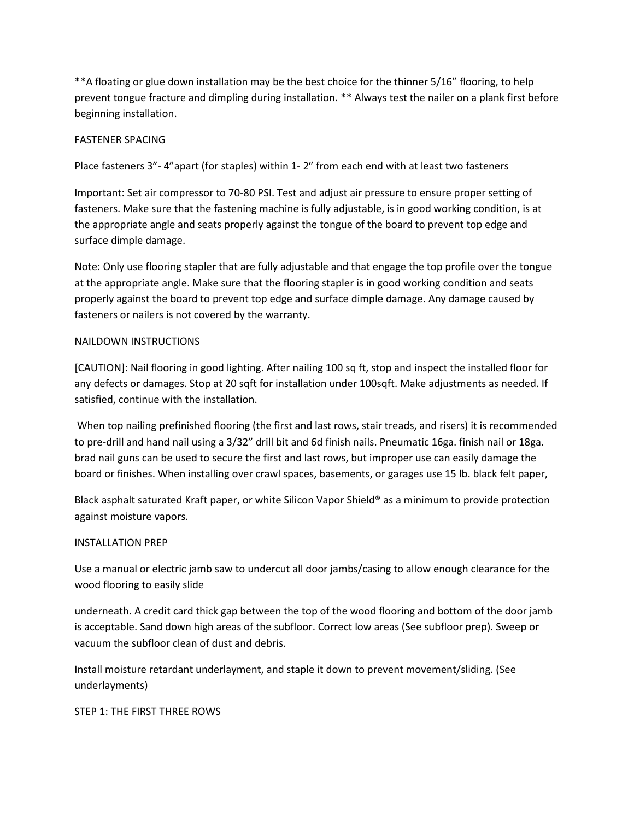\*\*A floating or glue down installation may be the best choice for the thinner 5/16" flooring, to help prevent tongue fracture and dimpling during installation. \*\* Always test the nailer on a plank first before beginning installation.

# FASTENER SPACING

Place fasteners 3"- 4"apart (for staples) within 1- 2″ from each end with at least two fasteners

Important: Set air compressor to 70-80 PSI. Test and adjust air pressure to ensure proper setting of fasteners. Make sure that the fastening machine is fully adjustable, is in good working condition, is at the appropriate angle and seats properly against the tongue of the board to prevent top edge and surface dimple damage.

Note: Only use flooring stapler that are fully adjustable and that engage the top profile over the tongue at the appropriate angle. Make sure that the flooring stapler is in good working condition and seats properly against the board to prevent top edge and surface dimple damage. Any damage caused by fasteners or nailers is not covered by the warranty.

# NAILDOWN INSTRUCTIONS

[CAUTION]: Nail flooring in good lighting. After nailing 100 sq ft, stop and inspect the installed floor for any defects or damages. Stop at 20 sqft for installation under 100sqft. Make adjustments as needed. If satisfied, continue with the installation.

When top nailing prefinished flooring (the first and last rows, stair treads, and risers) it is recommended to pre-drill and hand nail using a 3/32" drill bit and 6d finish nails. Pneumatic 16ga. finish nail or 18ga. brad nail guns can be used to secure the first and last rows, but improper use can easily damage the board or finishes. When installing over crawl spaces, basements, or garages use 15 lb. black felt paper,

Black asphalt saturated Kraft paper, or white Silicon Vapor Shield® as a minimum to provide protection against moisture vapors.

# INSTALLATION PREP

Use a manual or electric jamb saw to undercut all door jambs/casing to allow enough clearance for the wood flooring to easily slide

underneath. A credit card thick gap between the top of the wood flooring and bottom of the door jamb is acceptable. Sand down high areas of the subfloor. Correct low areas (See subfloor prep). Sweep or vacuum the subfloor clean of dust and debris.

Install moisture retardant underlayment, and staple it down to prevent movement/sliding. (See underlayments)

STEP 1: THE FIRST THREE ROWS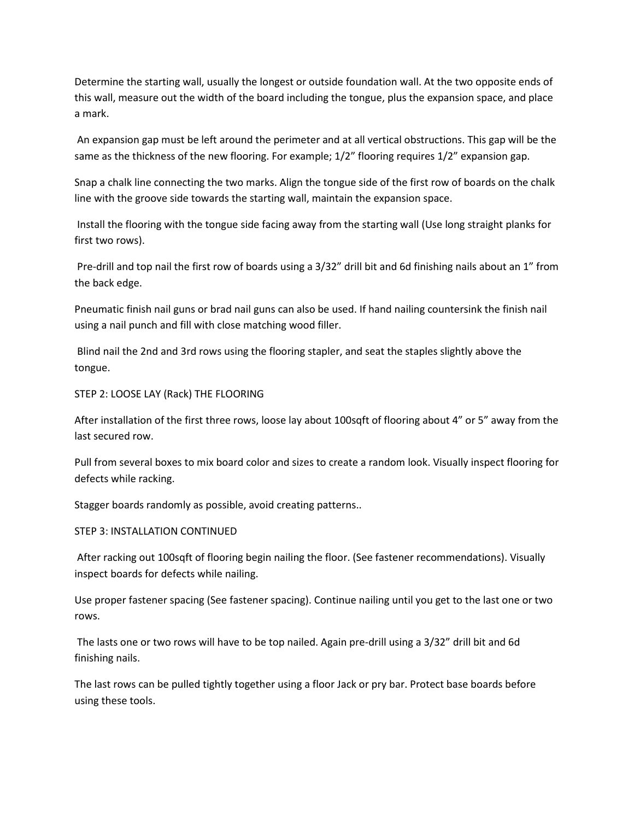Determine the starting wall, usually the longest or outside foundation wall. At the two opposite ends of this wall, measure out the width of the board including the tongue, plus the expansion space, and place a mark.

An expansion gap must be left around the perimeter and at all vertical obstructions. This gap will be the same as the thickness of the new flooring. For example;  $1/2$ " flooring requires  $1/2$ " expansion gap.

Snap a chalk line connecting the two marks. Align the tongue side of the first row of boards on the chalk line with the groove side towards the starting wall, maintain the expansion space.

Install the flooring with the tongue side facing away from the starting wall (Use long straight planks for first two rows).

Pre-drill and top nail the first row of boards using a 3/32" drill bit and 6d finishing nails about an 1" from the back edge.

Pneumatic finish nail guns or brad nail guns can also be used. If hand nailing countersink the finish nail using a nail punch and fill with close matching wood filler.

Blind nail the 2nd and 3rd rows using the flooring stapler, and seat the staples slightly above the tongue.

# STEP 2: LOOSE LAY (Rack) THE FLOORING

After installation of the first three rows, loose lay about 100sqft of flooring about 4" or 5" away from the last secured row.

Pull from several boxes to mix board color and sizes to create a random look. Visually inspect flooring for defects while racking.

Stagger boards randomly as possible, avoid creating patterns..

#### STEP 3: INSTALLATION CONTINUED

After racking out 100sqft of flooring begin nailing the floor. (See fastener recommendations). Visually inspect boards for defects while nailing.

Use proper fastener spacing (See fastener spacing). Continue nailing until you get to the last one or two rows.

The lasts one or two rows will have to be top nailed. Again pre-drill using a 3/32" drill bit and 6d finishing nails.

The last rows can be pulled tightly together using a floor Jack or pry bar. Protect base boards before using these tools.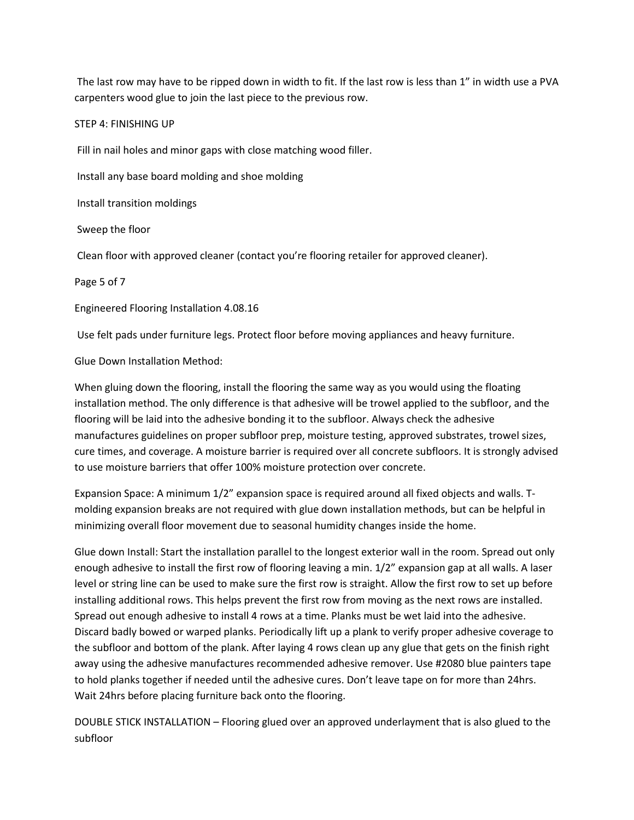The last row may have to be ripped down in width to fit. If the last row is less than 1" in width use a PVA carpenters wood glue to join the last piece to the previous row.

### STEP 4: FINISHING UP

Fill in nail holes and minor gaps with close matching wood filler.

Install any base board molding and shoe molding

Install transition moldings

Sweep the floor

Clean floor with approved cleaner (contact you're flooring retailer for approved cleaner).

Page 5 of 7

Engineered Flooring Installation 4.08.16

Use felt pads under furniture legs. Protect floor before moving appliances and heavy furniture.

Glue Down Installation Method:

When gluing down the flooring, install the flooring the same way as you would using the floating installation method. The only difference is that adhesive will be trowel applied to the subfloor, and the flooring will be laid into the adhesive bonding it to the subfloor. Always check the adhesive manufactures guidelines on proper subfloor prep, moisture testing, approved substrates, trowel sizes, cure times, and coverage. A moisture barrier is required over all concrete subfloors. It is strongly advised to use moisture barriers that offer 100% moisture protection over concrete.

Expansion Space: A minimum 1/2" expansion space is required around all fixed objects and walls. Tmolding expansion breaks are not required with glue down installation methods, but can be helpful in minimizing overall floor movement due to seasonal humidity changes inside the home.

Glue down Install: Start the installation parallel to the longest exterior wall in the room. Spread out only enough adhesive to install the first row of flooring leaving a min. 1/2" expansion gap at all walls. A laser level or string line can be used to make sure the first row is straight. Allow the first row to set up before installing additional rows. This helps prevent the first row from moving as the next rows are installed. Spread out enough adhesive to install 4 rows at a time. Planks must be wet laid into the adhesive. Discard badly bowed or warped planks. Periodically lift up a plank to verify proper adhesive coverage to the subfloor and bottom of the plank. After laying 4 rows clean up any glue that gets on the finish right away using the adhesive manufactures recommended adhesive remover. Use #2080 blue painters tape to hold planks together if needed until the adhesive cures. Don't leave tape on for more than 24hrs. Wait 24hrs before placing furniture back onto the flooring.

DOUBLE STICK INSTALLATION – Flooring glued over an approved underlayment that is also glued to the subfloor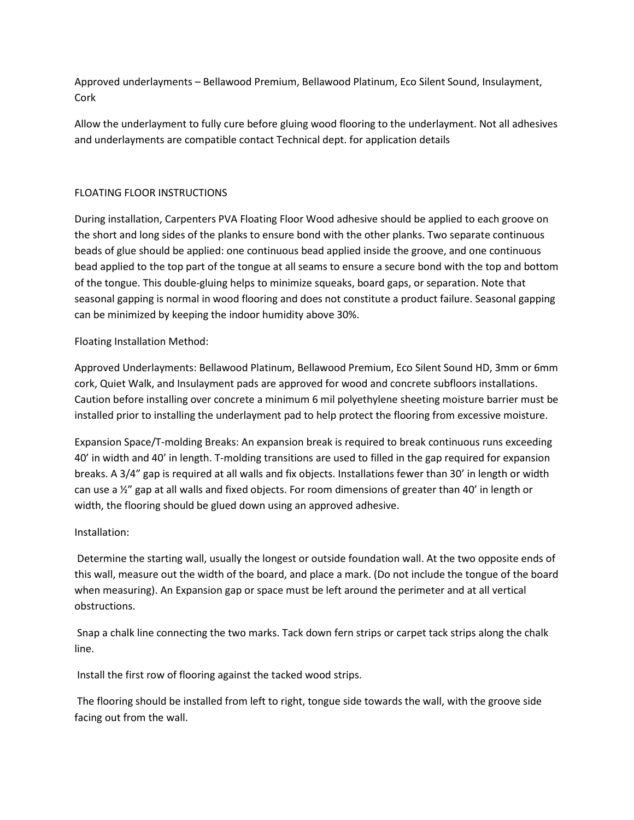Approved underlayments – Bellawood Premium, Bellawood Platinum, Eco Silent Sound, Insulayment, Cork

Allow the underlayment to fully cure before gluing wood flooring to the underlayment. Not all adhesives and underlayments are compatible contact Technical dept. for application details

# FLOATING FLOOR INSTRUCTIONS

During installation, Carpenters PVA Floating Floor Wood adhesive should be applied to each groove on the short and long sides of the planks to ensure bond with the other planks. Two separate continuous beads of glue should be applied: one continuous bead applied inside the groove, and one continuous bead applied to the top part of the tongue at all seams to ensure a secure bond with the top and bottom of the tongue. This double-gluing helps to minimize squeaks, board gaps, or separation. Note that seasonal gapping is normal in wood flooring and does not constitute a product failure. Seasonal gapping can be minimized by keeping the indoor humidity above 30%.

Floating Installation Method:

Approved Underlayments: Bellawood Platinum, Bellawood Premium, Eco Silent Sound HD, 3mm or 6mm cork, Quiet Walk, and Insulayment pads are approved for wood and concrete subfloors installations. Caution before installing over concrete a minimum 6 mil polyethylene sheeting moisture barrier must be installed prior to installing the underlayment pad to help protect the flooring from excessive moisture.

Expansion Space/T-molding Breaks: An expansion break is required to break continuous runs exceeding 40' in width and 40' in length. T-molding transitions are used to filled in the gap required for expansion breaks. A 3/4" gap is required at all walls and fix objects. Installations fewer than 30' in length or width can use a  $\frac{1}{2}$  gap at all walls and fixed objects. For room dimensions of greater than 40' in length or width, the flooring should be glued down using an approved adhesive.

# Installation:

Determine the starting wall, usually the longest or outside foundation wall. At the two opposite ends of this wall, measure out the width of the board, and place a mark. (Do not include the tongue of the board when measuring). An Expansion gap or space must be left around the perimeter and at all vertical obstructions.

Snap a chalk line connecting the two marks. Tack down fern strips or carpet tack strips along the chalk line.

Install the first row of flooring against the tacked wood strips.

The flooring should be installed from left to right, tongue side towards the wall, with the groove side facing out from the wall.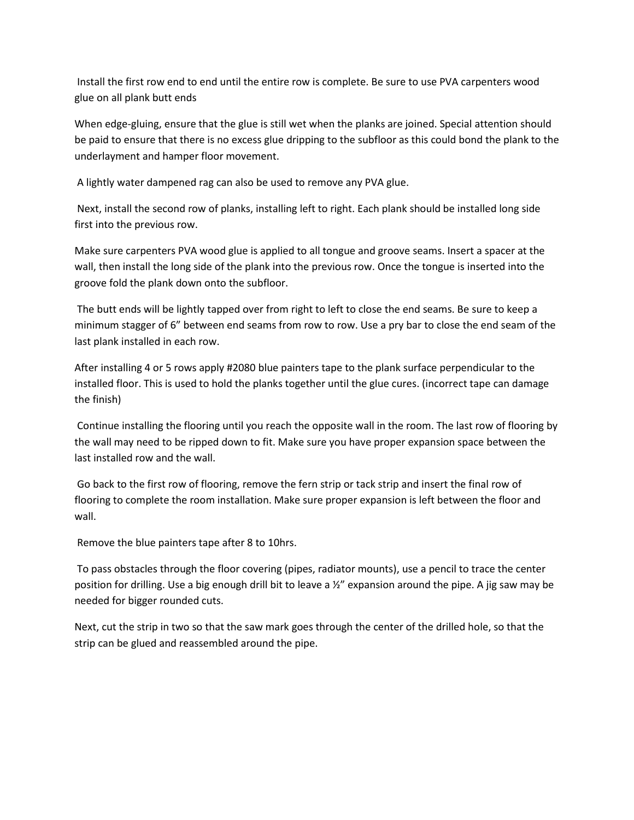Install the first row end to end until the entire row is complete. Be sure to use PVA carpenters wood glue on all plank butt ends

When edge-gluing, ensure that the glue is still wet when the planks are joined. Special attention should be paid to ensure that there is no excess glue dripping to the subfloor as this could bond the plank to the underlayment and hamper floor movement.

A lightly water dampened rag can also be used to remove any PVA glue.

Next, install the second row of planks, installing left to right. Each plank should be installed long side first into the previous row.

Make sure carpenters PVA wood glue is applied to all tongue and groove seams. Insert a spacer at the wall, then install the long side of the plank into the previous row. Once the tongue is inserted into the groove fold the plank down onto the subfloor.

The butt ends will be lightly tapped over from right to left to close the end seams. Be sure to keep a minimum stagger of 6" between end seams from row to row. Use a pry bar to close the end seam of the last plank installed in each row.

After installing 4 or 5 rows apply #2080 blue painters tape to the plank surface perpendicular to the installed floor. This is used to hold the planks together until the glue cures. (incorrect tape can damage the finish)

Continue installing the flooring until you reach the opposite wall in the room. The last row of flooring by the wall may need to be ripped down to fit. Make sure you have proper expansion space between the last installed row and the wall.

Go back to the first row of flooring, remove the fern strip or tack strip and insert the final row of flooring to complete the room installation. Make sure proper expansion is left between the floor and wall.

Remove the blue painters tape after 8 to 10hrs.

To pass obstacles through the floor covering (pipes, radiator mounts), use a pencil to trace the center position for drilling. Use a big enough drill bit to leave a  $\frac{1}{2}$ " expansion around the pipe. A jig saw may be needed for bigger rounded cuts.

Next, cut the strip in two so that the saw mark goes through the center of the drilled hole, so that the strip can be glued and reassembled around the pipe.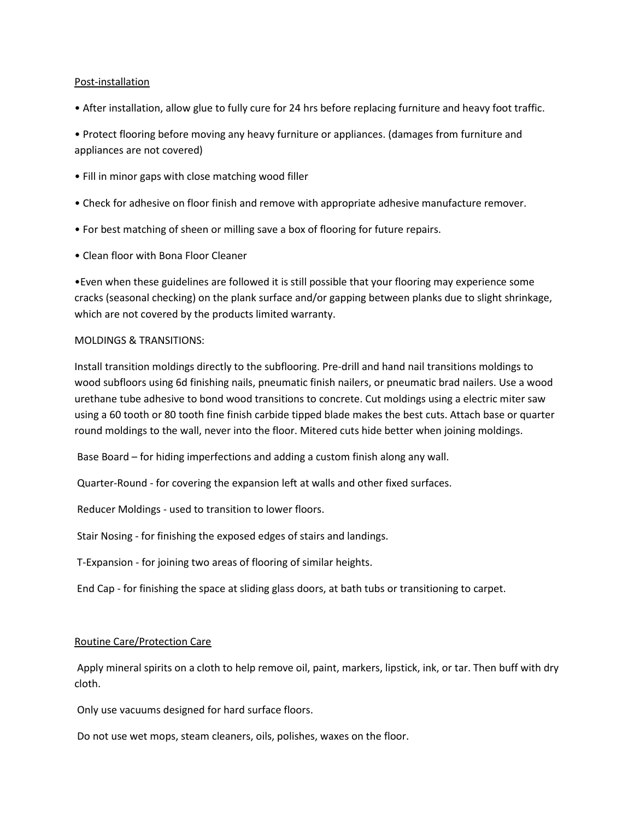### Post-installation

• After installation, allow glue to fully cure for 24 hrs before replacing furniture and heavy foot traffic.

• Protect flooring before moving any heavy furniture or appliances. (damages from furniture and appliances are not covered)

- Fill in minor gaps with close matching wood filler
- Check for adhesive on floor finish and remove with appropriate adhesive manufacture remover.
- For best matching of sheen or milling save a box of flooring for future repairs.
- Clean floor with Bona Floor Cleaner

•Even when these guidelines are followed it is still possible that your flooring may experience some cracks (seasonal checking) on the plank surface and/or gapping between planks due to slight shrinkage, which are not covered by the products limited warranty.

#### MOLDINGS & TRANSITIONS:

Install transition moldings directly to the subflooring. Pre-drill and hand nail transitions moldings to wood subfloors using 6d finishing nails, pneumatic finish nailers, or pneumatic brad nailers. Use a wood urethane tube adhesive to bond wood transitions to concrete. Cut moldings using a electric miter saw using a 60 tooth or 80 tooth fine finish carbide tipped blade makes the best cuts. Attach base or quarter round moldings to the wall, never into the floor. Mitered cuts hide better when joining moldings.

Base Board – for hiding imperfections and adding a custom finish along any wall.

Quarter-Round - for covering the expansion left at walls and other fixed surfaces.

Reducer Moldings - used to transition to lower floors.

Stair Nosing - for finishing the exposed edges of stairs and landings.

T-Expansion - for joining two areas of flooring of similar heights.

End Cap - for finishing the space at sliding glass doors, at bath tubs or transitioning to carpet.

#### Routine Care/Protection Care

Apply mineral spirits on a cloth to help remove oil, paint, markers, lipstick, ink, or tar. Then buff with dry cloth.

Only use vacuums designed for hard surface floors.

Do not use wet mops, steam cleaners, oils, polishes, waxes on the floor.